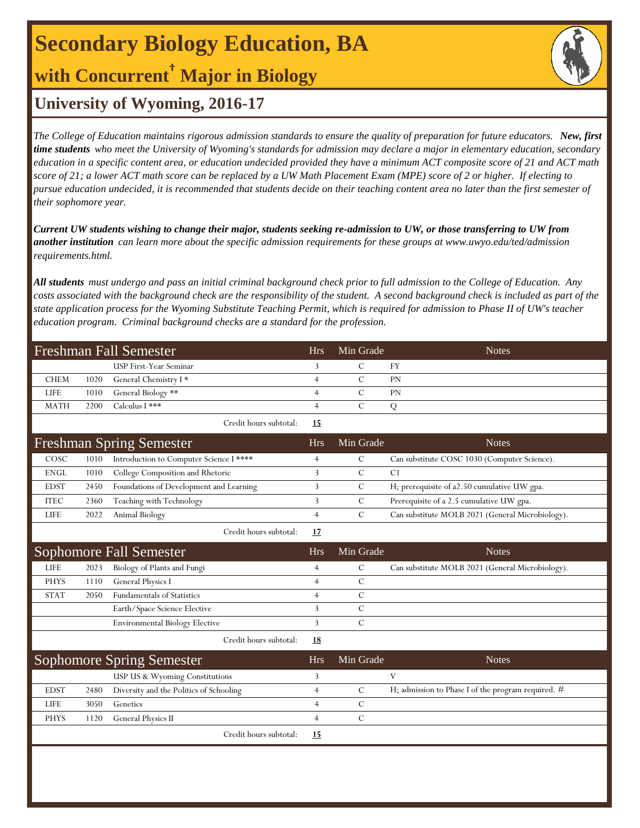# **Secondary Biology Education, BA**

**with Concurrent† Major in Biology**



## **University of Wyoming, 2016-17**

*The College of Education maintains rigorous admission standards to ensure the quality of preparation for future educators. New, first time students who meet the University of Wyoming's standards for admission may declare a major in elementary education, secondary education in a specific content area, or education undecided provided they have a minimum ACT composite score of 21 and ACT math score of 21; a lower ACT math score can be replaced by a UW Math Placement Exam (MPE) score of 2 or higher. If electing to pursue education undecided, it is recommended that students decide on their teaching content area no later than the first semester of their sophomore year.*

*Current UW students wishing to change their major, students seeking re-admission to UW, or those transferring to UW from another institution can learn more about the specific admission requirements for these groups at www.uwyo.edu/ted/admission requirements.html.* 

*All students must undergo and pass an initial criminal background check prior to full admission to the College of Education. Any costs associated with the background check are the responsibility of the student. A second background check is included as part of the state application process for the Wyoming Substitute Teaching Permit, which is required for admission to Phase II of UW's teacher education program. Criminal background checks are a standard for the profession.*

|             |      | <b>Freshman Fall Semester</b>           | <b>Hrs</b>     | Min Grade     | <b>Notes</b>                                     |
|-------------|------|-----------------------------------------|----------------|---------------|--------------------------------------------------|
|             |      | <b>USP First-Year Seminar</b>           | 3              | $\mathcal{C}$ | <b>FY</b>                                        |
| <b>CHEM</b> | 1020 | General Chemistry I*                    | $\overline{4}$ | $\mathcal{C}$ | PN                                               |
| <b>LIFE</b> | 1010 | General Biology **                      | $\overline{4}$ | $\mathcal{C}$ | <b>PN</b>                                        |
| <b>MATH</b> | 2200 | Calculus I ***                          | $\overline{4}$ | $\mathcal{C}$ | Q                                                |
|             |      | Credit hours subtotal:                  | 15             |               |                                                  |
|             |      | <b>Freshman Spring Semester</b>         | <b>Hrs</b>     | Min Grade     | <b>Notes</b>                                     |
| COSC        | 1010 | Introduction to Computer Science I **** | 4              | $\mathcal{C}$ | Can substitute COSC 1030 (Computer Science).     |
| <b>ENGL</b> | 1010 | College Composition and Rhetoric        | 3              | $\mathcal{C}$ | C1                                               |
| <b>EDST</b> | 2450 | Foundations of Development and Learning | 3              | $\mathcal{C}$ | H; prerequisite of a2.50 cumulative UW gpa.      |
| <b>ITEC</b> | 2360 | Teaching with Technology                | 3              | C             | Prerequisite of a 2.5 cumulative UW gpa.         |
| <b>LIFE</b> | 2022 | Animal Biology                          | $\overline{4}$ | $\mathcal{C}$ | Can substitute MOLB 2021 (General Microbiology). |
|             |      | Credit hours subtotal:                  | 17             |               |                                                  |
|             |      | Sophomore Fall Semester                 | <b>Hrs</b>     | Min Grade     | <b>Notes</b>                                     |
| <b>LIFE</b> | 2023 | Biology of Plants and Fungi             | 4              | $\mathcal{C}$ | Can substitute MOLB 2021 (General Microbiology). |
| <b>PHYS</b> | 1110 | General Physics I                       | $\overline{4}$ | $\mathcal{C}$ |                                                  |
| <b>STAT</b> | 2050 | <b>Fundamentals of Statistics</b>       | $\overline{4}$ | $\mathcal{C}$ |                                                  |
|             |      | Earth/Space Science Elective            | 3              | $\mathcal{C}$ |                                                  |
|             |      | <b>Environmental Biology Elective</b>   | 3              | $\mathcal{C}$ |                                                  |
|             |      | Credit hours subtotal:                  | <b>18</b>      |               |                                                  |

| Sophomore Spring Semester |      |                                         |      | Min Grade | <b>Notes</b>                                         |
|---------------------------|------|-----------------------------------------|------|-----------|------------------------------------------------------|
|                           |      | USP US & Wyoming Constitutions          |      |           |                                                      |
| <b>EDST</b>               | 2480 | Diversity and the Politics of Schooling |      |           | H; admission to Phase I of the program required. $#$ |
| LIFE                      | 3050 | Genetics                                |      |           |                                                      |
| <b>PHYS</b>               | 1120 | <b>General Physics II</b>               |      |           |                                                      |
|                           |      | Credit hours subtotal:                  | - 15 |           |                                                      |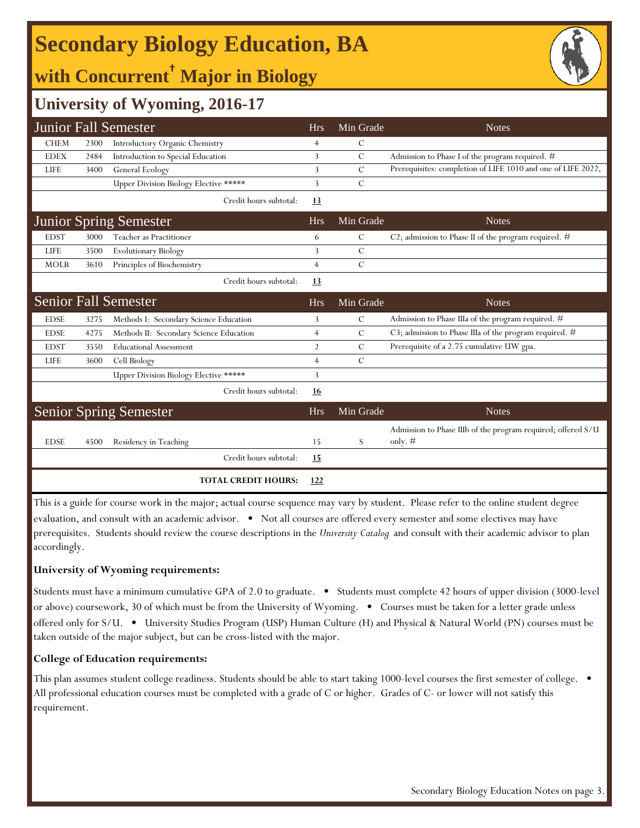# **Secondary Biology Education, BA**

## **with Concurrent† Major in Biology**



## **University of Wyoming, 2016-17**

|             |      | <b>Junior Fall Semester</b>             | <b>Hrs</b>     | Min Grade     | <b>Notes</b>                                                              |
|-------------|------|-----------------------------------------|----------------|---------------|---------------------------------------------------------------------------|
| <b>CHEM</b> | 2300 | Introductory Organic Chemistry          | 4              | $\mathsf{C}$  |                                                                           |
| <b>EDEX</b> | 2484 | Introduction to Special Education       | 3              | $\mathcal{C}$ | Admission to Phase I of the program required. #                           |
| <b>LIFE</b> | 3400 | General Ecology                         | 3              | C             | Prerequisites: completion of LIFE 1010 and one of LIFE 2022,              |
|             |      | Upper Division Biology Elective *****   | 3              | C             |                                                                           |
|             |      | Credit hours subtotal:                  | <u>13</u>      |               |                                                                           |
|             |      | <b>Junior Spring Semester</b>           | <b>Hrs</b>     | Min Grade     | <b>Notes</b>                                                              |
| <b>EDST</b> | 3000 | Teacher as Practitioner                 | 6              | C             | C2; admission to Phase II of the program required. $#$                    |
| <b>LIFE</b> | 3500 | <b>Evolutionary Biology</b>             | 3              | $\mathcal{C}$ |                                                                           |
| <b>MOLB</b> | 3610 | Principles of Biochemistry              | $\overline{4}$ | $\mathcal{C}$ |                                                                           |
|             |      | Credit hours subtotal:                  | <u>13</u>      |               |                                                                           |
|             |      | <b>Senior Fall Semester</b>             | <b>Hrs</b>     | Min Grade     | <b>Notes</b>                                                              |
| <b>EDSE</b> | 3275 | Methods I: Secondary Science Education  | 3              | C             | Admission to Phase IIIa of the program required. #                        |
| <b>EDSE</b> | 4275 | Methods II: Secondary Science Education | $\overline{4}$ | $\mathcal{C}$ | C3; admission to Phase IIIa of the program required. #                    |
| <b>EDST</b> | 3550 | <b>Educational Assessment</b>           | $\overline{2}$ | $\mathcal{C}$ | Prerequisite of a 2.75 cumulative UW gpa.                                 |
| <b>LIFE</b> | 3600 | Cell Biology                            | 4              | $\mathcal{C}$ |                                                                           |
|             |      | Upper Division Biology Elective *****   | 3              |               |                                                                           |
|             |      | Credit hours subtotal:                  | 16             |               |                                                                           |
|             |      | <b>Senior Spring Semester</b>           | <b>Hrs</b>     | Min Grade     | <b>Notes</b>                                                              |
| <b>EDSE</b> | 4500 | Residency in Teaching                   | 15             | S             | Admission to Phase IIIb of the program required; offered S/U<br>only. $#$ |
|             |      | Credit hours subtotal:                  | <u>15</u>      |               |                                                                           |
|             |      | <b>TOTAL CREDIT HOURS:</b>              | 122            |               |                                                                           |

This is a guide for course work in the major; actual course sequence may vary by student. Please refer to the online student degree evaluation, and consult with an academic advisor. • Not all courses are offered every semester and some electives may have prerequisites. Students should review the course descriptions in the *University Catalog* and consult with their academic advisor to plan accordingly.

#### **University of Wyoming requirements:**

Students must have a minimum cumulative GPA of 2.0 to graduate. • Students must complete 42 hours of upper division (3000-level or above) coursework, 30 of which must be from the University of Wyoming. • Courses must be taken for a letter grade unless offered only for S/U. • University Studies Program (USP) Human Culture (H) and Physical & Natural World (PN) courses must be taken outside of the major subject, but can be cross-listed with the major.

#### **College of Education requirements:**

This plan assumes student college readiness. Students should be able to start taking 1000-level courses the first semester of college. All professional education courses must be completed with a grade of C or higher. Grades of C- or lower will not satisfy this requirement.